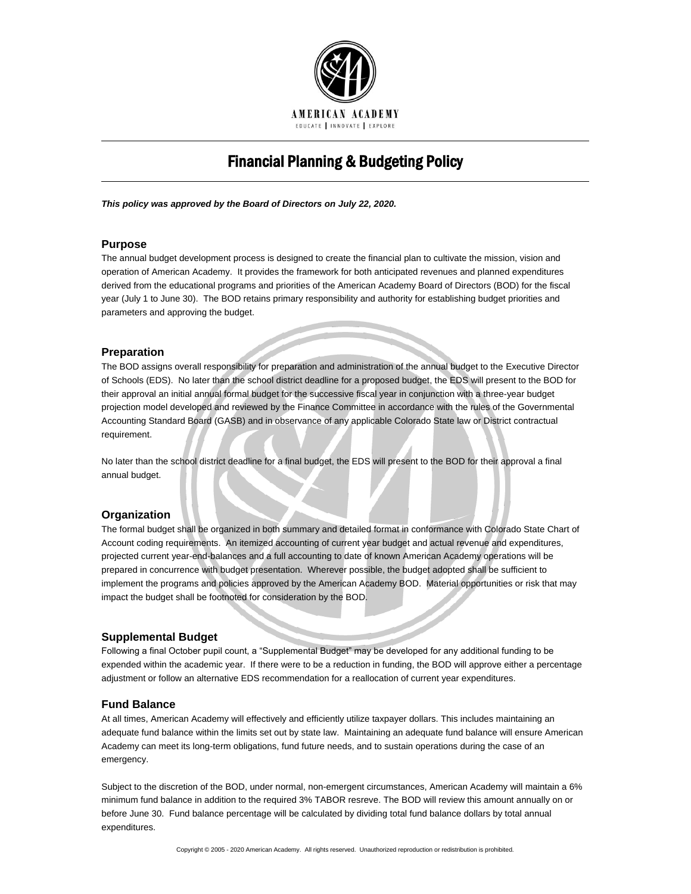

# Financial Planning & Budgeting Policy

*This policy was approved by the Board of Directors on July 22, 2020.*

# **Purpose**

The annual budget development process is designed to create the financial plan to cultivate the mission, vision and operation of American Academy. It provides the framework for both anticipated revenues and planned expenditures derived from the educational programs and priorities of the American Academy Board of Directors (BOD) for the fiscal year (July 1 to June 30). The BOD retains primary responsibility and authority for establishing budget priorities and parameters and approving the budget.

## **Preparation**

The BOD assigns overall responsibility for preparation and administration of the annual budget to the Executive Director of Schools (EDS). No later than the school district deadline for a proposed budget, the EDS will present to the BOD for their approval an initial annual formal budget for the successive fiscal year in conjunction with a three-year budget projection model developed and reviewed by the Finance Committee in accordance with the rules of the Governmental Accounting Standard Board (GASB) and in observance of any applicable Colorado State law or District contractual requirement.

No later than the school district deadline for a final budget, the EDS will present to the BOD for their approval a final annual budget.

#### **Organization**

The formal budget shall be organized in both summary and detailed format in conformance with Colorado State Chart of Account coding requirements. An itemized accounting of current year budget and actual revenue and expenditures, projected current year-end-balances and a full accounting to date of known American Academy operations will be prepared in concurrence with budget presentation. Wherever possible, the budget adopted shall be sufficient to implement the programs and policies approved by the American Academy BOD. Material opportunities or risk that may impact the budget shall be footnoted for consideration by the BOD.

#### **Supplemental Budget**

Following a final October pupil count, a "Supplemental Budget" may be developed for any additional funding to be expended within the academic year. If there were to be a reduction in funding, the BOD will approve either a percentage adjustment or follow an alternative EDS recommendation for a reallocation of current year expenditures.

#### **Fund Balance**

At all times, American Academy will effectively and efficiently utilize taxpayer dollars. This includes maintaining an adequate fund balance within the limits set out by state law. Maintaining an adequate fund balance will ensure American Academy can meet its long-term obligations, fund future needs, and to sustain operations during the case of an emergency.

Subject to the discretion of the BOD, under normal, non-emergent circumstances, American Academy will maintain a 6% minimum fund balance in addition to the required 3% TABOR resreve. The BOD will review this amount annually on or before June 30. Fund balance percentage will be calculated by dividing total fund balance dollars by total annual expenditures.